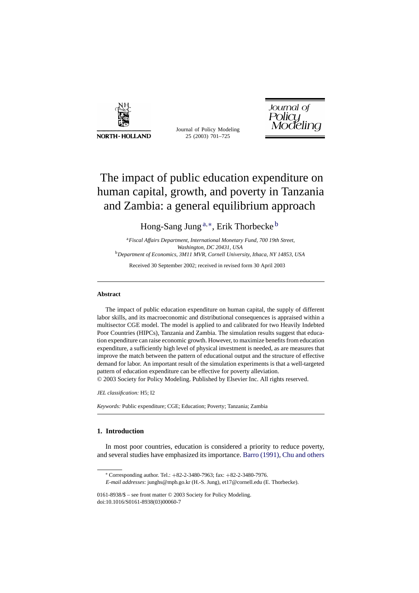

**NORTH-HOLLAND** 

Journal of Policy Modeling 25 (2003) 701–725

Journal of<br>Policy<br>Modeling

# The impact of public education expenditure on human capital, growth, and poverty in Tanzania and Zambia: a general equilibrium approach

Hong-Sang Jung<sup>a,∗</sup>, Erik Thorbecke<sup>b</sup>

<sup>a</sup>*Fiscal Affairs Department, International Monetary Fund, 700 19th Street, Washington, DC 20431, USA* <sup>b</sup>*Department of Economics, 3M11 MVR, Cornell University, Ithaca, NY 14853, USA*

Received 30 September 2002; received in revised form 30 April 2003

### **Abstract**

The impact of public education expenditure on human capital, the supply of different labor skills, and its macroeconomic and distributional consequences is appraised within a multisector CGE model. The model is applied to and calibrated for two Heavily Indebted Poor Countries (HIPCs), Tanzania and Zambia. The simulation results suggest that education expenditure can raise economic growth. However, to maximize benefits from education expenditure, a sufficiently high level of physical investment is needed, as are measures that improve the match between the pattern of educational output and the structure of effective demand for labor. An important result of the simulation experiments is that a well-targeted pattern of education expenditure can be effective for poverty alleviation.

© 2003 Society for Policy Modeling. Published by Elsevier Inc. All rights reserved.

#### *JEL classification:* H5; I2

*Keywords:* Public expenditure; CGE; Education; Poverty; Tanzania; Zambia

## **1. Introduction**

In most poor countries, education is considered a priority to reduce poverty, and several studies have emphasized its importance. [Barro \(1991\),](#page--1-0) [Chu and others](#page--1-0)

<sup>∗</sup> Corresponding author. Tel.: +82-2-3480-7963; fax: +82-2-3480-7976.

*E-mail addresses*: junghs@mpb.go.kr (H.-S. Jung), et17@cornell.edu (E. Thorbecke).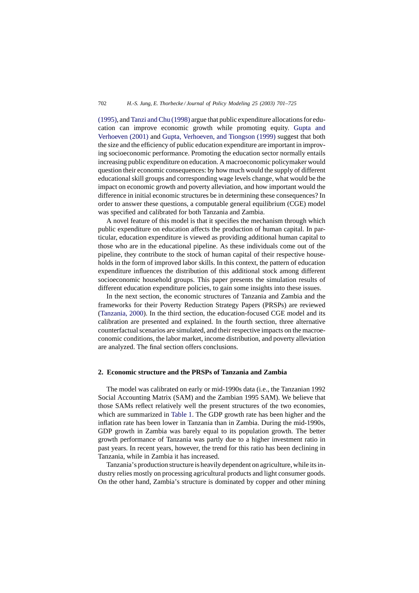[\(1995\), a](#page--1-0)nd [Tanzi and Chu \(1998\)](#page--1-0) argue that public expenditure allocations for education can improve economic growth while promoting equity. [Gupta and](#page--1-0) [Verhoeven \(2001\)](#page--1-0) and [Gupta, Verhoeven, and Tiongson \(1999\)](#page--1-0) suggest that both the size and the efficiency of public education expenditure are important in improving socioeconomic performance. Promoting the education sector normally entails increasing public expenditure on education. A macroeconomic policymaker would question their economic consequences: by how much would the supply of different educational skill groups and corresponding wage levels change, what would be the impact on economic growth and poverty alleviation, and how important would the difference in initial economic structures be in determining these consequences? In order to answer these questions, a computable general equilibrium (CGE) model was specified and calibrated for both Tanzania and Zambia.

A novel feature of this model is that it specifies the mechanism through which public expenditure on education affects the production of human capital. In particular, education expenditure is viewed as providing additional human capital to those who are in the educational pipeline. As these individuals come out of the pipeline, they contribute to the stock of human capital of their respective households in the form of improved labor skills. In this context, the pattern of education expenditure influences the distribution of this additional stock among different socioeconomic household groups. This paper presents the simulation results of different education expenditure policies, to gain some insights into these issues.

In the next section, the economic structures of Tanzania and Zambia and the frameworks for their Poverty Reduction Strategy Papers (PRSPs) are reviewed ([Tanzania, 2000\).](#page--1-0) In the third section, the education-focused CGE model and its calibration are presented and explained. In the fourth section, three alternative counterfactual scenarios are simulated, and their respective impacts on the macroeconomic conditions, the labor market, income distribution, and poverty alleviation are analyzed. The final section offers conclusions.

## **2. Economic structure and the PRSPs of Tanzania and Zambia**

The model was calibrated on early or mid-1990s data (i.e., the Tanzanian 1992 Social Accounting Matrix (SAM) and the Zambian 1995 SAM). We believe that those SAMs reflect relatively well the present structures of the two economies, which are summarized in [Table 1.](#page--1-0) The GDP growth rate has been higher and the inflation rate has been lower in Tanzania than in Zambia. During the mid-1990s, GDP growth in Zambia was barely equal to its population growth. The better growth performance of Tanzania was partly due to a higher investment ratio in past years. In recent years, however, the trend for this ratio has been declining in Tanzania, while in Zambia it has increased.

Tanzania's production structure is heavily dependent on agriculture, while its industry relies mostly on processing agricultural products and light consumer goods. On the other hand, Zambia's structure is dominated by copper and other mining